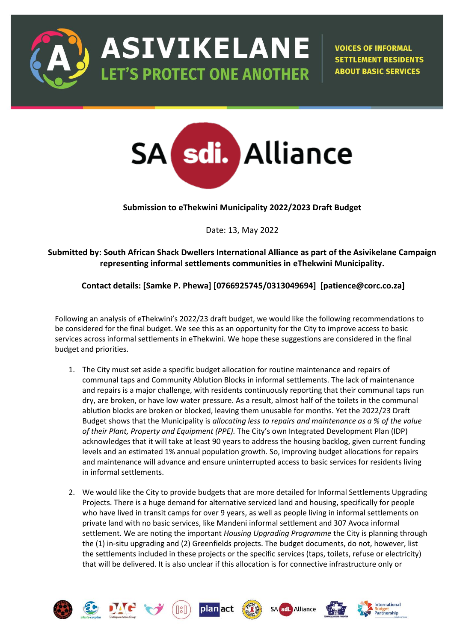

**ASIVIKELANE LET'S PROTECT ONE ANOTHER** 

**VOICES OF INFORMAL SETTLEMENT RESIDENTS ABOUT BASIC SERVICES** 

International



**Submission to eThekwini Municipality 2022/2023 Draft Budget**

Date: 13, May 2022

**Submitted by: South African Shack Dwellers International Alliance as part of the Asivikelane Campaign representing informal settlements communities in eThekwini Municipality.** 

# **Contact details: [Samke P. Phewa] [0766925745/0313049694] [patience@corc.co.za]**

Following an analysis of eThekwini's 2022/23 draft budget, we would like the following recommendations to be considered for the final budget. We see this as an opportunity for the City to improve access to basic services across informal settlements in eThekwini. We hope these suggestions are considered in the final budget and priorities.

- 1. The City must set aside a specific budget allocation for routine maintenance and repairs of communal taps and Community Ablution Blocks in informal settlements. The lack of maintenance and repairs is a major challenge, with residents continuously reporting that their communal taps run dry, are broken, or have low water pressure. As a result, almost half of the toilets in the communal ablution blocks are broken or blocked, leaving them unusable for months. Yet the 2022/23 Draft Budget shows that the Municipality is *allocating less to repairs and maintenance as a % of the value of their Plant, Property and Equipment (PPE).* The City's own Integrated Development Plan (IDP) acknowledges that it will take at least 90 years to address the housing backlog, given current funding levels and an estimated 1% annual population growth. So, improving budget allocations for repairs and maintenance will advance and ensure uninterrupted access to basic services for residents living in informal settlements.
- 2. We would like the City to provide budgets that are more detailed for Informal Settlements Upgrading Projects. There is a huge demand for alternative serviced land and housing, specifically for people who have lived in transit camps for over 9 years, as well as people living in informal settlements on private land with no basic services, like Mandeni informal settlement and 307 Avoca informal settlement. We are noting the important *Housing Upgrading Programme* the City is planning through the (1) in-situ upgrading and (2) Greenfields projects. The budget documents, do not, however, list the settlements included in these projects or the specific services (taps, toilets, refuse or electricity) that will be delivered. It is also unclear if this allocation is for connective infrastructure only or

Alliance

planact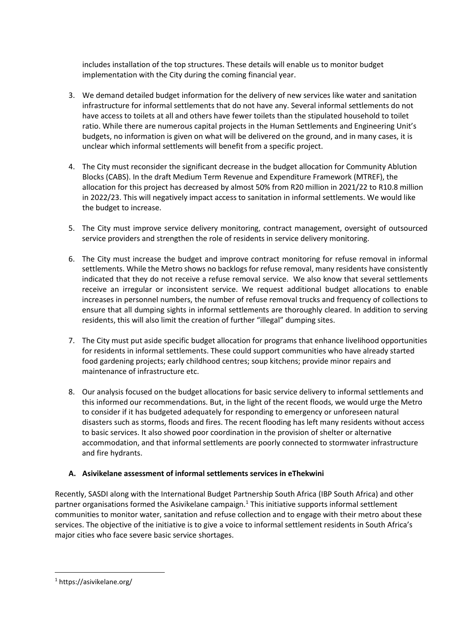includes installation of the top structures. These details will enable us to monitor budget implementation with the City during the coming financial year.

- 3. We demand detailed budget information for the delivery of new services like water and sanitation infrastructure for informal settlements that do not have any. Several informal settlements do not have access to toilets at all and others have fewer toilets than the stipulated household to toilet ratio. While there are numerous capital projects in the Human Settlements and Engineering Unit's budgets, no information is given on what will be delivered on the ground, and in many cases, it is unclear which informal settlements will benefit from a specific project.
- 4. The City must reconsider the significant decrease in the budget allocation for Community Ablution Blocks (CABS). In the draft Medium Term Revenue and Expenditure Framework (MTREF), the allocation for this project has decreased by almost 50% from R20 million in 2021/22 to R10.8 million in 2022/23. This will negatively impact access to sanitation in informal settlements. We would like the budget to increase.
- 5. The City must improve service delivery monitoring, contract management, oversight of outsourced service providers and strengthen the role of residents in service delivery monitoring.
- 6. The City must increase the budget and improve contract monitoring for refuse removal in informal settlements. While the Metro shows no backlogs for refuse removal, many residents have consistently indicated that they do not receive a refuse removal service. We also know that several settlements receive an irregular or inconsistent service. We request additional budget allocations to enable increases in personnel numbers, the number of refuse removal trucks and frequency of collections to ensure that all dumping sights in informal settlements are thoroughly cleared. In addition to serving residents, this will also limit the creation of further "illegal" dumping sites.
- 7. The City must put aside specific budget allocation for programs that enhance livelihood opportunities for residents in informal settlements. These could support communities who have already started food gardening projects; early childhood centres; soup kitchens; provide minor repairs and maintenance of infrastructure etc.
- 8. Our analysis focused on the budget allocations for basic service delivery to informal settlements and this informed our recommendations. But, in the light of the recent floods, we would urge the Metro to consider if it has budgeted adequately for responding to emergency or unforeseen natural disasters such as storms, floods and fires. The recent flooding has left many residents without access to basic services. It also showed poor coordination in the provision of shelter or alternative accommodation, and that informal settlements are poorly connected to stormwater infrastructure and fire hydrants.

# **A. Asivikelane assessment of informal settlements services in eThekwini**

Recently, SASDI along with the International Budget Partnership South Africa (IBP South Africa) and other partner organisations formed the Asivikelane campaign. $1$  This initiative supports informal settlement communities to monitor water, sanitation and refuse collection and to engage with their metro about these services. The objective of the initiative is to give a voice to informal settlement residents in South Africa's major cities who face severe basic service shortages.

<sup>1</sup> https://asivikelane.org/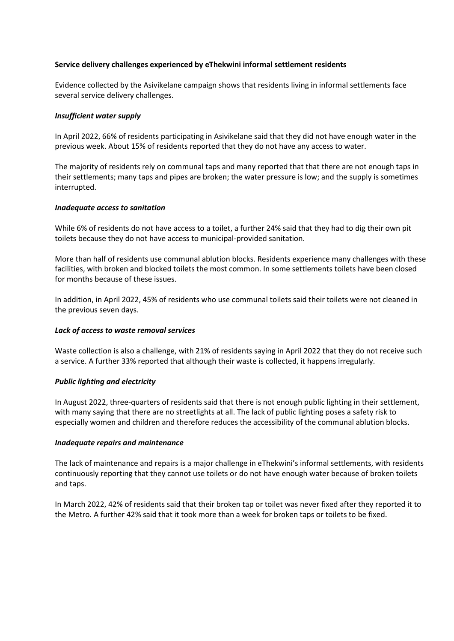#### **Service delivery challenges experienced by eThekwini informal settlement residents**

Evidence collected by the Asivikelane campaign shows that residents living in informal settlements face several service delivery challenges.

#### *Insufficient water supply*

In April 2022, 66% of residents participating in Asivikelane said that they did not have enough water in the previous week. About 15% of residents reported that they do not have any access to water.

The majority of residents rely on communal taps and many reported that that there are not enough taps in their settlements; many taps and pipes are broken; the water pressure is low; and the supply is sometimes interrupted.

#### *Inadequate access to sanitation*

While 6% of residents do not have access to a toilet, a further 24% said that they had to dig their own pit toilets because they do not have access to municipal-provided sanitation.

More than half of residents use communal ablution blocks. Residents experience many challenges with these facilities, with broken and blocked toilets the most common. In some settlements toilets have been closed for months because of these issues.

In addition, in April 2022, 45% of residents who use communal toilets said their toilets were not cleaned in the previous seven days.

#### *Lack of access to waste removal services*

Waste collection is also a challenge, with 21% of residents saying in April 2022 that they do not receive such a service. A further 33% reported that although their waste is collected, it happens irregularly.

#### *Public lighting and electricity*

In August 2022, three-quarters of residents said that there is not enough public lighting in their settlement, with many saying that there are no streetlights at all. The lack of public lighting poses a safety risk to especially women and children and therefore reduces the accessibility of the communal ablution blocks.

#### *Inadequate repairs and maintenance*

The lack of maintenance and repairs is a major challenge in eThekwini's informal settlements, with residents continuously reporting that they cannot use toilets or do not have enough water because of broken toilets and taps.

In March 2022, 42% of residents said that their broken tap or toilet was never fixed after they reported it to the Metro. A further 42% said that it took more than a week for broken taps or toilets to be fixed.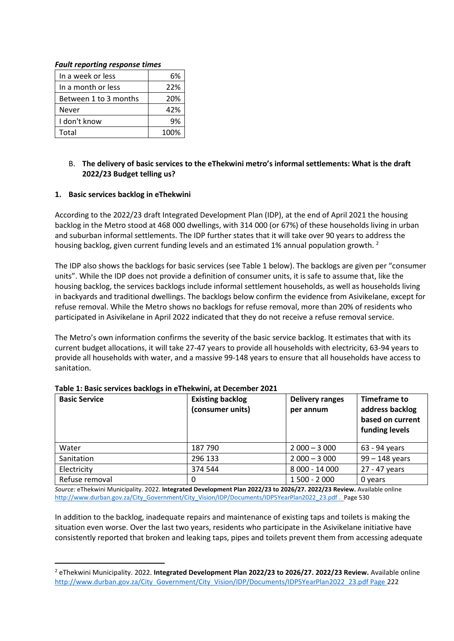### *Fault reporting response times*

| In a week or less     | 6%   |
|-----------------------|------|
| In a month or less    | 22%  |
| Between 1 to 3 months | 20%  |
| Never                 | 42%  |
| I don't know          | 9%   |
| Total                 | 100% |

### B. **The delivery of basic services to the eThekwini metro's informal settlements: What is the draft 2022/23 Budget telling us?**

### **1. Basic services backlog in eThekwini**

According to the 2022/23 draft Integrated Development Plan (IDP), at the end of April 2021 the housing backlog in the Metro stood at 468 000 dwellings, with 314 000 (or 67%) of these households living in urban and suburban informal settlements. The IDP further states that it will take over 90 years to address the housing backlog, given current funding levels and an estimated 1% annual population growth.<sup>2</sup>

The IDP also shows the backlogs for basic services (see Table 1 below). The backlogs are given per "consumer units". While the IDP does not provide a definition of consumer units, it is safe to assume that, like the housing backlog, the services backlogs include informal settlement households, as well as households living in backyards and traditional dwellings. The backlogs below confirm the evidence from Asivikelane, except for refuse removal. While the Metro shows no backlogs for refuse removal, more than 20% of residents who participated in Asivikelane in April 2022 indicated that they do not receive a refuse removal service.

The Metro's own information confirms the severity of the basic service backlog. It estimates that with its current budget allocations, it will take 27-47 years to provide all households with electricity, 63-94 years to provide all households with water, and a massive 99-148 years to ensure that all households have access to sanitation.

| <b>Basic Service</b> | <b>Existing backlog</b><br>(consumer units) | <b>Delivery ranges</b><br>per annum | Timeframe to<br>address backlog<br>based on current<br>funding levels |
|----------------------|---------------------------------------------|-------------------------------------|-----------------------------------------------------------------------|
| Water                | 187 790                                     | $2000 - 3000$                       | 63 - 94 years                                                         |
| Sanitation           | 296 133                                     | $2000 - 3000$                       | $99 - 148$ years                                                      |
| Electricity          | 374 544                                     | 8 000 - 14 000                      | 27 - 47 years                                                         |
| Refuse removal       |                                             | $1500 - 2000$                       | 0 years                                                               |

#### **Table 1: Basic services backlogs in eThekwini, at December 2021**

*Source:* eThekwini Municipality. 2022. **Integrated Development Plan 2022/23 to 2026/27. 2022/23 Review.** Available online [http://www.durban.gov.za/City\\_Government/City\\_Vision/IDP/Documents/IDP5YearPlan2022\\_23.pdf . P](http://www.durban.gov.za/City_Government/City_Vision/IDP/Documents/IDP5YearPlan2022_23.pdf%20.)age 530

In addition to the backlog, inadequate repairs and maintenance of existing taps and toilets is making the situation even worse. Over the last two years, residents who participate in the Asivikelane initiative have consistently reported that broken and leaking taps, pipes and toilets prevent them from accessing adequate

<sup>2</sup> eThekwini Municipality. 2022. **Integrated Development Plan 2022/23 to 2026/27. 2022/23 Review.** Available online [http://www.durban.gov.za/City\\_Government/City\\_Vision/IDP/Documents/IDP5YearPlan2022\\_23.pdf Page 2](http://www.durban.gov.za/City_Government/City_Vision/IDP/Documents/IDP5YearPlan2022_23.pdf%20Page)22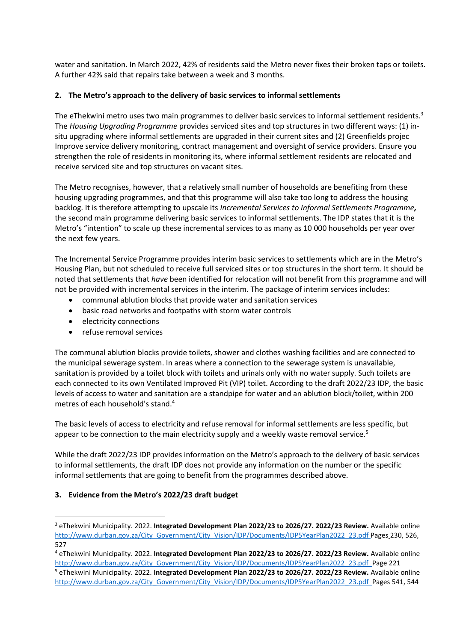water and sanitation. In March 2022, 42% of residents said the Metro never fixes their broken taps or toilets. A further 42% said that repairs take between a week and 3 months.

### **2. The Metro's approach to the delivery of basic services to informal settlements**

The eThekwini metro uses two main programmes to deliver basic services to informal settlement residents.<sup>3</sup> The *Housing Upgrading Programme* provides serviced sites and top structures in two different ways: (1) insitu upgrading where informal settlements are upgraded in their current sites and (2) Greenfields projec Improve service delivery monitoring, contract management and oversight of service providers. Ensure you strengthen the role of residents in monitoring its, where informal settlement residents are relocated and receive serviced site and top structures on vacant sites.

The Metro recognises, however, that a relatively small number of households are benefiting from these housing upgrading programmes, and that this programme will also take too long to address the housing backlog. It is therefore attempting to upscale its *Incremental Services to Informal Settlements Programme,*  the second main programme delivering basic services to informal settlements. The IDP states that it is the Metro's "intention" to scale up these incremental services to as many as 10 000 households per year over the next few years.

The Incremental Service Programme provides interim basic services to settlements which are in the Metro's Housing Plan, but not scheduled to receive full serviced sites or top structures in the short term. It should be noted that settlements that *have* been identified for relocation will not benefit from this programme and will not be provided with incremental services in the interim. The package of interim services includes:

- communal ablution blocks that provide water and sanitation services
- basic road networks and footpaths with storm water controls
- electricity connections
- refuse removal services

The communal ablution blocks provide toilets, shower and clothes washing facilities and are connected to the municipal sewerage system. In areas where a connection to the sewerage system is unavailable, sanitation is provided by a toilet block with toilets and urinals only with no water supply. Such toilets are each connected to its own Ventilated Improved Pit (VIP) toilet. According to the draft 2022/23 IDP, the basic levels of access to water and sanitation are a standpipe for water and an ablution block/toilet, within 200 metres of each household's stand.<sup>4</sup>

The basic levels of access to electricity and refuse removal for informal settlements are less specific, but appear to be connection to the main electricity supply and a weekly waste removal service.<sup>5</sup>

While the draft 2022/23 IDP provides information on the Metro's approach to the delivery of basic services to informal settlements, the draft IDP does not provide any information on the number or the specific informal settlements that are going to benefit from the programmes described above.

# **3. Evidence from the Metro's 2022/23 draft budget**

<sup>3</sup> eThekwini Municipality. 2022. **Integrated Development Plan 2022/23 to 2026/27. 2022/23 Review.** Available online [http://www.durban.gov.za/City\\_Government/City\\_Vision/IDP/Documents/IDP5YearPlan2022\\_23.pdf Pages](http://www.durban.gov.za/City_Government/City_Vision/IDP/Documents/IDP5YearPlan2022_23.pdf%20Pages%20230) 230, 526, 527

<sup>4</sup> eThekwini Municipality. 2022. **Integrated Development Plan 2022/23 to 2026/27. 2022/23 Review.** Available online [http://www.durban.gov.za/City\\_Government/City\\_Vision/IDP/Documents/IDP5YearPlan2022\\_23.pdf P](http://www.durban.gov.za/City_Government/City_Vision/IDP/Documents/IDP5YearPlan2022_23.pdf)age 221 <sup>5</sup> eThekwini Municipality. 2022. **Integrated Development Plan 2022/23 to 2026/27. 2022/23 Review.** Available online

[http://www.durban.gov.za/City\\_Government/City\\_Vision/IDP/Documents/IDP5YearPlan2022\\_23.pdf P](http://www.durban.gov.za/City_Government/City_Vision/IDP/Documents/IDP5YearPlan2022_23.pdf)ages 541, 544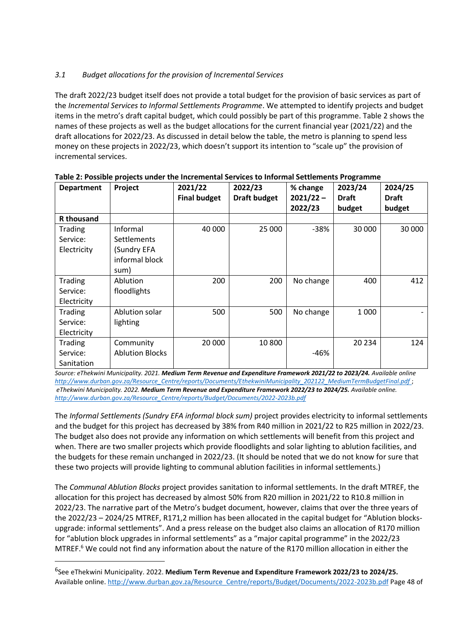# *3.1 Budget allocations for the provision of Incremental Services*

The draft 2022/23 budget itself does not provide a total budget for the provision of basic services as part of the *Incremental Services to Informal Settlements Programme*. We attempted to identify projects and budget items in the metro's draft capital budget, which could possibly be part of this programme. Table 2 shows the names of these projects as well as the budget allocations for the current financial year (2021/22) and the draft allocations for 2022/23. As discussed in detail below the table, the metro is planning to spend less money on these projects in 2022/23, which doesn't support its intention to "scale up" the provision of incremental services.

| <b>Department</b>                  | Project                                                                 | 2021/22<br><b>Final budget</b> | 2022/23<br><b>Draft budget</b> | % change<br>$2021/22 -$<br>2022/23 | 2023/24<br><b>Draft</b><br>budget | 2024/25<br><b>Draft</b><br>budget |
|------------------------------------|-------------------------------------------------------------------------|--------------------------------|--------------------------------|------------------------------------|-----------------------------------|-----------------------------------|
| <b>R</b> thousand                  |                                                                         |                                |                                |                                    |                                   |                                   |
| Trading<br>Service:<br>Electricity | Informal<br><b>Settlements</b><br>(Sundry EFA<br>informal block<br>sum) | 40 000                         | 25 000                         | $-38%$                             | 30 000                            | 30 000                            |
| Trading<br>Service:<br>Electricity | Ablution<br>floodlights                                                 | 200                            | 200                            | No change                          | 400                               | 412                               |
| Trading<br>Service:<br>Electricity | Ablution solar<br>lighting                                              | 500                            | 500                            | No change                          | 1 0 0 0                           |                                   |
| Trading<br>Service:<br>Sanitation  | Community<br><b>Ablution Blocks</b>                                     | 20 000                         | 10 800                         | $-46%$                             | 20 234                            | 124                               |

#### **Table 2: Possible projects under the Incremental Services to Informal Settlements Programme**

*Source: eThekwini Municipality. 2021. Medium Term Revenue and Expenditure Framework 2021/22 to 2023/24. Available online [http://www.durban.gov.za/Resource\\_Centre/reports/Documents/EthekwiniMunicipality\\_202122\\_MediumTermBudgetFinal.pdf](http://www.durban.gov.za/Resource_Centre/reports/Documents/EthekwiniMunicipality_202122_MediumTermBudgetFinal.pdf)* ; *eThekwini Municipality. 2022. Medium Term Revenue and Expenditure Framework 2022/23 to 2024/25. Available online. [http://www.durban.gov.za/Resource\\_Centre/reports/Budget/Documents/2022-2023b.pdf](http://www.durban.gov.za/Resource_Centre/reports/Budget/Documents/2022-2023b.pdf)*

The *Informal Settlements (Sundry EFA informal block sum)* project provides electricity to informal settlements and the budget for this project has decreased by 38% from R40 million in 2021/22 to R25 million in 2022/23. The budget also does not provide any information on which settlements will benefit from this project and when. There are two smaller projects which provide floodlights and solar lighting to ablution facilities, and the budgets for these remain unchanged in 2022/23. (It should be noted that we do not know for sure that these two projects will provide lighting to communal ablution facilities in informal settlements.)

The *Communal Ablution Blocks* project provides sanitation to informal settlements. In the draft MTREF, the allocation for this project has decreased by almost 50% from R20 million in 2021/22 to R10.8 million in 2022/23. The narrative part of the Metro's budget document, however, claims that over the three years of the 2022/23 – 2024/25 MTREF, R171,2 million has been allocated in the capital budget for "Ablution blocksupgrade: informal settlements". And a press release on the budget also claims an allocation of R170 million for "ablution block upgrades in informal settlements" as a "major capital programme" in the 2022/23 MTREF.<sup>6</sup> We could not find any information about the nature of the R170 million allocation in either the

<sup>6</sup> See eThekwini Municipality. 2022. **Medium Term Revenue and Expenditure Framework 2022/23 to 2024/25.**  Available online[. http://www.durban.gov.za/Resource\\_Centre/reports/Budget/Documents/2022-2023b.pdf](http://www.durban.gov.za/Resource_Centre/reports/Budget/Documents/2022-2023b.pdf) Page 48 of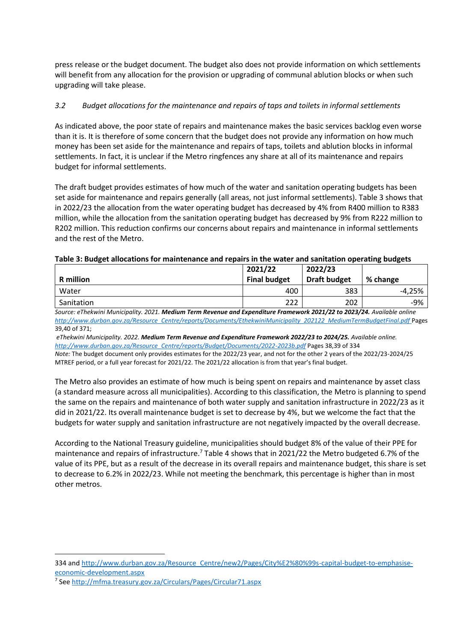press release or the budget document. The budget also does not provide information on which settlements will benefit from any allocation for the provision or upgrading of communal ablution blocks or when such upgrading will take please.

# *3.2 Budget allocations for the maintenance and repairs of taps and toilets in informal settlements*

As indicated above, the poor state of repairs and maintenance makes the basic services backlog even worse than it is. It is therefore of some concern that the budget does not provide any information on how much money has been set aside for the maintenance and repairs of taps, toilets and ablution blocks in informal settlements. In fact, it is unclear if the Metro ringfences any share at all of its maintenance and repairs budget for informal settlements.

The draft budget provides estimates of how much of the water and sanitation operating budgets has been set aside for maintenance and repairs generally (all areas, not just informal settlements). Table 3 shows that in 2022/23 the allocation from the water operating budget has decreased by 4% from R400 million to R383 million, while the allocation from the sanitation operating budget has decreased by 9% from R222 million to R202 million. This reduction confirms our concerns about repairs and maintenance in informal settlements and the rest of the Metro.

### **Table 3: Budget allocations for maintenance and repairs in the water and sanitation operating budgets**

| 2021/22             | 2022/23             |          |
|---------------------|---------------------|----------|
| <b>Final budget</b> | <b>Draft budget</b> | % change |
| 400                 | 383                 | $-4.25%$ |
| 222                 | 202                 | $-9%$    |
|                     |                     |          |

*Source: eThekwini Municipality. 2021. Medium Term Revenue and Expenditure Framework 2021/22 to 2023/24. Available online [http://www.durban.gov.za/Resource\\_Centre/reports/Documents/EthekwiniMunicipality\\_202122\\_MediumTermBudgetFinal.pdf](http://www.durban.gov.za/Resource_Centre/reports/Documents/EthekwiniMunicipality_202122_MediumTermBudgetFinal.pdf%20Pages%2039,40%20of%20371)* Pages [39,40 of 371;](http://www.durban.gov.za/Resource_Centre/reports/Documents/EthekwiniMunicipality_202122_MediumTermBudgetFinal.pdf%20Pages%2039,40%20of%20371)

*eThekwini Municipality. 2022. Medium Term Revenue and Expenditure Framework 2022/23 to 2024/25. Available online. [http://www.durban.gov.za/Resource\\_Centre/reports/Budget/Documents/2022-2023b.pdf](http://www.durban.gov.za/Resource_Centre/reports/Budget/Documents/2022-2023b.pdf)* Pages 38,39 of 334

*Note:* The budget document only provides estimates for the 2022/23 year, and not for the other 2 years of the 2022/23-2024/25 MTREF period, or a full year forecast for 2021/22. The 2021/22 allocation is from that year's final budget.

The Metro also provides an estimate of how much is being spent on repairs and maintenance by asset class (a standard measure across all municipalities). According to this classification, the Metro is planning to spend the same on the repairs and maintenance of both water supply and sanitation infrastructure in 2022/23 as it did in 2021/22. Its overall maintenance budget is set to decrease by 4%, but we welcome the fact that the budgets for water supply and sanitation infrastructure are not negatively impacted by the overall decrease.

According to the National Treasury guideline, municipalities should budget 8% of the value of their PPE for maintenance and repairs of infrastructure.<sup>7</sup> Table 4 shows that in 2021/22 the Metro budgeted 6.7% of the value of its PPE, but as a result of the decrease in its overall repairs and maintenance budget, this share is set to decrease to 6.2% in 2022/23. While not meeting the benchmark, this percentage is higher than in most other metros.

<sup>334</sup> and [http://www.durban.gov.za/Resource\\_Centre/new2/Pages/City%E2%80%99s-capital-budget-to-emphasise](http://www.durban.gov.za/Resource_Centre/new2/Pages/City%E2%80%99s-capital-budget-to-emphasise-economic-development.aspx)[economic-development.aspx](http://www.durban.gov.za/Resource_Centre/new2/Pages/City%E2%80%99s-capital-budget-to-emphasise-economic-development.aspx)

<sup>7</sup> See<http://mfma.treasury.gov.za/Circulars/Pages/Circular71.aspx>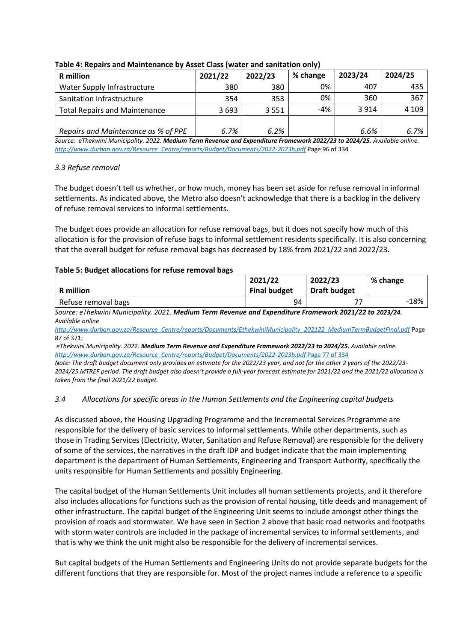|                                      |         |         | . .      |         |         |
|--------------------------------------|---------|---------|----------|---------|---------|
| <b>R</b> million                     | 2021/22 | 2022/23 | % change | 2023/24 | 2024/25 |
| Water Supply Infrastructure          | 380     | 380     | 0%       | 407     | 435     |
| Sanitation Infrastructure            | 354     | 353     | 0%       | 360     | 367     |
| <b>Total Repairs and Maintenance</b> | 3693    | 3 5 5 1 | -4%      | 3 9 1 4 | 4 1 0 9 |
|                                      |         |         |          |         |         |
| Repairs and Maintenance as % of PPE  | 6.7%    | 6.2%    |          | 6.6%    | 6.7%    |

### **Table 4: Repairs and Maintenance by Asset Class (water and sanitation only)**

*Source: eThekwini Municipality. 2022. Medium Term Revenue and Expenditure Framework 2022/23 to 2024/25. Available online. [http://www.durban.gov.za/Resource\\_Centre/reports/Budget/Documents/2022-2023b.pdf](http://www.durban.gov.za/Resource_Centre/reports/Budget/Documents/2022-2023b.pdf)* Page 96 of 334

### *3.3 Refuse removal*

The budget doesn't tell us whether, or how much, money has been set aside for refuse removal in informal settlements. As indicated above, the Metro also doesn't acknowledge that there is a backlog in the delivery of refuse removal services to informal settlements.

The budget does provide an allocation for refuse removal bags, but it does not specify how much of this allocation is for the provision of refuse bags to informal settlement residents specifically. It is also concerning that the overall budget for refuse removal bags has decreased by 18% from 2021/22 and 2022/23.

#### **Table 5: Budget allocations for refuse removal bags**

|                     | 2021/22             | 2022/23             | % change |
|---------------------|---------------------|---------------------|----------|
| <b>R</b> million    | <b>Final budget</b> | <b>Draft budget</b> |          |
| Refuse removal bags | 94                  | フフ                  | $-18%$   |

Source: eThekwini Municipality. 2021. Medium Term Revenue and Expenditure Framework 2021/22 to 2023/24. *Available online*

*[http://www.durban.gov.za/Resource\\_Centre/reports/Documents/EthekwiniMunicipality\\_202122\\_MediumTermBudgetFinal.pdf](http://www.durban.gov.za/Resource_Centre/reports/Documents/EthekwiniMunicipality_202122_MediumTermBudgetFinal.pdf%20Page%2087%20of%20371)* Page [87 of 371;](http://www.durban.gov.za/Resource_Centre/reports/Documents/EthekwiniMunicipality_202122_MediumTermBudgetFinal.pdf%20Page%2087%20of%20371) 

*eThekwini Municipality. 2022. Medium Term Revenue and Expenditure Framework 2022/23 to 2024/25. Available online. [http://www.durban.gov.za/Resource\\_Centre/reports/Budget/Documents/2022-2023b.pdf](http://www.durban.gov.za/Resource_Centre/reports/Budget/Documents/2022-2023b.pdf%20Page%2077%20of%20334)* Page 77 of 334

*Note: The draft budget document only provides an estimate for the 2022/23 year, and not for the other 2 years of the 2022/23- 2024/25 MTREF period. The draft budget also doesn't provide a full-year forecast estimate for 2021/22 and the 2021/22 allocation is taken from the final 2021/22 budget.* 

#### *3.4 Allocations for specific areas in the Human Settlements and the Engineering capital budgets*

As discussed above, the Housing Upgrading Programme and the Incremental Services Programme are responsible for the delivery of basic services to informal settlements. While other departments, such as those in Trading Services (Electricity, Water, Sanitation and Refuse Removal) are responsible for the delivery of some of the services, the narratives in the draft IDP and budget indicate that the main implementing department is the department of Human Settlements, Engineering and Transport Authority, specifically the units responsible for Human Settlements and possibly Engineering.

The capital budget of the Human Settlements Unit includes all human settlements projects, and it therefore also includes allocations for functions such as the provision of rental housing, title deeds and management of other infrastructure. The capital budget of the Engineering Unit seems to include amongst other things the provision of roads and stormwater. We have seen in Section 2 above that basic road networks and footpaths with storm water controls are included in the package of incremental services to informal settlements, and that is why we think the unit might also be responsible for the delivery of incremental services.

But capital budgets of the Human Settlements and Engineering Units do not provide separate budgets for the different functions that they are responsible for. Most of the project names include a reference to a specific